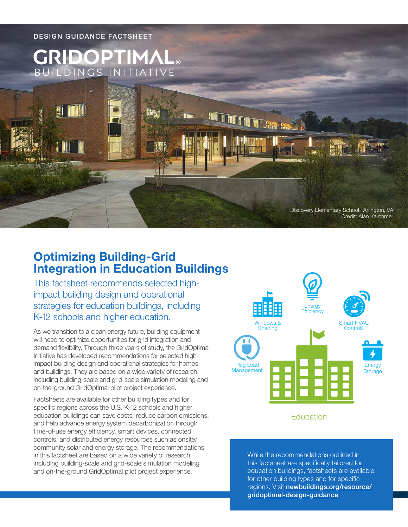

# **Optimizing Building-Grid Integration in Education Buildings**

This factsheet recommends selected highimpact building design and operational strategies for education buildings, including K-12 schools and higher education.

As we transition to a clean energy future, building equipment will need to optimize opportunities for grid integration and demand flexibility. Through three years of study, the GridOptimal Initiative has developed recommendations for selected highimpact building design and operational strategies for homes and buildings. They are based on a wide variety of research, including building-scale and grid-scale simulation modeling and on-the-ground GridOptimal pilot project experience.

Factsheets are available for other building types and for specific regions across the U.S. K-12 schools and higher education buildings can save costs, reduce carbon emissions, and help advance energy system decarbonization through time-of-use energy efficiency, smart devices, connected controls, and distributed energy resources such as onsite/ community solar and energy storage. The recommendations in this factsheet are based on a wide variety of research, including building-scale and grid-scale simulation modeling and on-the-ground GridOptimal pilot project experience.



## Education

While the recommendations outlined in this factsheet are specifically tailored for education buildings, factsheets are available for other building types and for specific regions. Visit [newbuildings.org/resource/](https://newbuildings.org/resource/gridoptimal-design-guidance) [gridoptimal-design-guidance](https://newbuildings.org/resource/gridoptimal-design-guidance)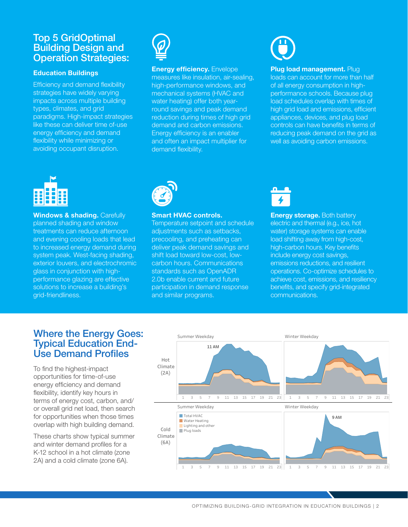# Top 5 GridOptimal Building Design and Operation Strategies:

### **Education Buildings**

Efficiency and demand flexibility strategies have widely varying impacts across multiple building types, climates, and grid paradigms. High-impact strategies like these can deliver time of-use energy efficiency and demand flexibility while minimizing or avoiding occupant disruption.



### **Energy efficiency.** Envelope

measures like insulation, air-sealing, high-performance windows, and mechanical systems (HVAC and water heating) offer both yearround savings and peak demand reduction during times of high grid demand and carbon emissions. Energy efficiency is an enabler and often an impact multiplier for demand flexibility.

### **Plug load management. Plug**

loads can account for more than half of all energy consumption in highperformance schools. Because plug load schedules overlap with times of high grid load and emissions, efficient appliances, devices, and plug load controls can have benefits in terms of reducing peak demand on the grid as well as avoiding carbon emissions.



**Windows & shading. Carefully** planned shading and window treatments can reduce afternoon and evening cooling loads that lead to increased energy demand during system peak. West-facing shading, exterior louvers, and electrochromic glass in conjunction with highperformance glazing are effective solutions to increase a building's grid-friendliness.



### **Smart HVAC controls.**

Temperature setpoint and schedule adjustments such as setbacks, precooling, and preheating can deliver peak demand savings and shift load toward low-cost, lowcarbon hours. Communications standards such as OpenADR 2.0b enable current and future participation in demand response and similar programs.



**Energy storage.** Both battery electric and thermal (e.g., ice, hot water) storage systems can enable load shifting away from high-cost, high-carbon hours. Key benefits include energy cost savings, emissions reductions, and resilient operations. Co-optimize schedules to achieve cost, emissions, and resiliency benefits, and specify grid-integrated communications.

# Where the Energy Goes: Typical Education End-Use Demand Profiles

To find the highest-impact opportunities for time-of-use energy efficiency and demand flexibility, identify key hours in terms of energy cost, carbon, and/ or overall grid net load, then search for opportunities when those times overlap with high building demand.

These charts show typical summer and winter demand profiles for a K-12 school in a hot climate (zone 2A) and a cold climate (zone 6A).



OPTIMIZING BUILDING-GRID INTEGRATION IN EDUCATION BUILDINGS | 2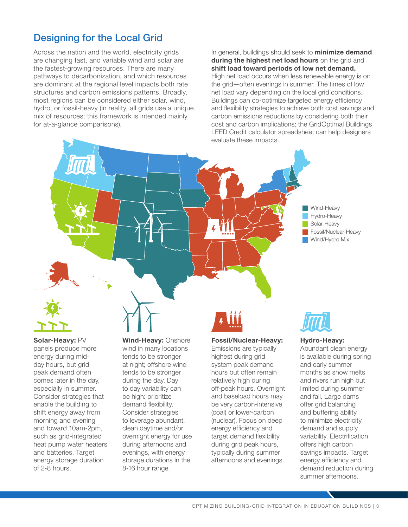# Designing for the Local Grid

Across the nation and the world, electricity grids are changing fast, and variable wind and solar are the fastest-growing resources. There are many pathways to decarbonization, and which resources are dominant at the regional level impacts both rate structures and carbon emissions patterns. Broadly, most regions can be considered either solar, wind, hydro, or fossil-heavy (in reality, all grids use a unique mix of resources; this framework is intended mainly for at-a-glance comparisons).

In general, buildings should seek to **minimize demand during the highest net load hours** on the grid and **shift load toward periods of low net demand.** High net load occurs when less renewable energy is on the grid—often evenings in summer. The times of low net load vary depending on the local grid conditions. Buildings can co-optimize targeted energy efficiency and flexibility strategies to achieve both cost savings and carbon emissions reductions by considering both their cost and carbon implications; the GridOptimal Buildings LEED Credit calculator spreadsheet can help designers evaluate these impacts.





**Solar-Heavy:** PV panels produce more energy during midday hours, but grid peak demand often comes later in the day, especially in summer. Consider strategies that enable the building to shift energy away from morning and evening and toward 10am-2pm, such as grid-integrated heat pump water heaters and batteries. Target energy storage duration of 2-8 hours.

**Wind-Heavy:** Onshore wind in many locations tends to be stronger at night; offshore wind tends to be stronger during the day. Day to day variability can be high: prioritize demand flexibility. Consider strategies to leverage abundant, clean daytime and/or overnight energy for use during afternoons and evenings, with energy storage durations in the 8-16 hour range.

### **Fossil/Nuclear-Heavy:**

Emissions are typically highest during grid system peak demand hours but often remain relatively high during off-peak hours. Overnight and baseload hours may be very carbon-intensive (coal) or lower-carbon (nuclear). Focus on deep energy efficiency and target demand flexibility during grid peak hours, typically during summer afternoons and evenings.



### **Hydro-Heavy:**

Abundant clean energy is available during spring and early summer months as snow melts and rivers run high but limited during summer and fall. Large dams offer grid balancing and buffering ability to minimize electricity demand and supply variability. Electrification offers high carbon savings impacts. Target energy efficiency and demand reduction during summer afternoons.